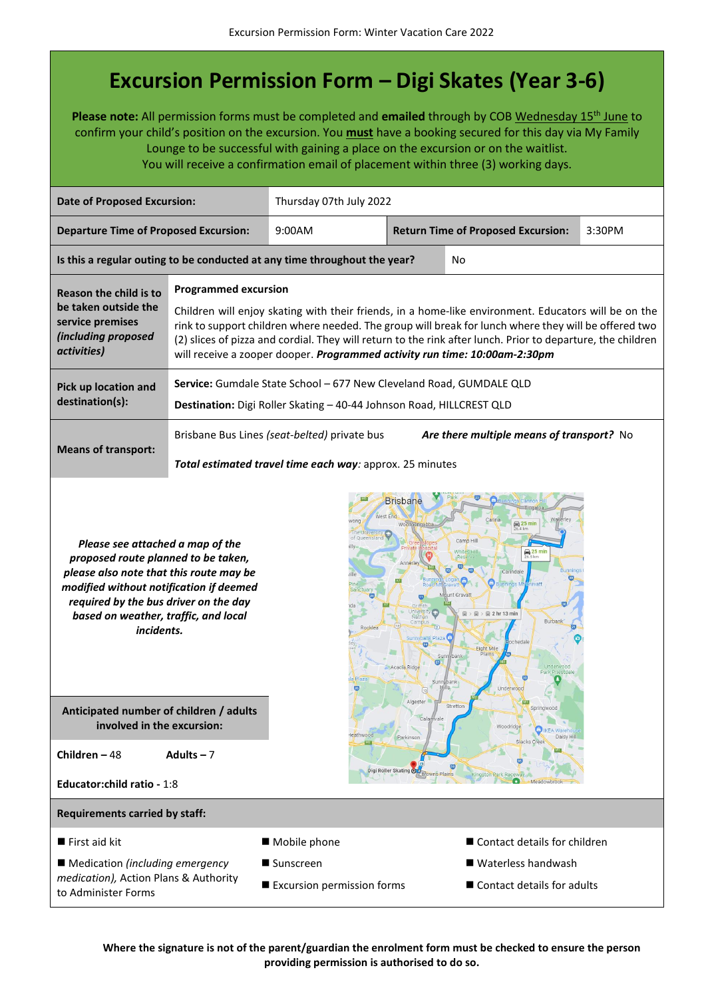## **Excursion Permission Form – Digi Skates (Year 3-6)**

Please note: All permission forms must be completed and emailed through by COB Wednesday 15<sup>th</sup> June to confirm your child's position on the excursion. You **must** have a booking secured for this day via My Family Lounge to be successful with gaining a place on the excursion or on the waitlist. You will receive a confirmation email of placement within three (3) working days.

| <b>Date of Proposed Excursion:</b>                                                                                                                                                                                                                                                                                                                                                                                                                                                                                               |                                                                                                                                                                                                                                                                                                                                                                                                                                          | Thursday 07th July 2022                                                                           |  |                                           |        |
|----------------------------------------------------------------------------------------------------------------------------------------------------------------------------------------------------------------------------------------------------------------------------------------------------------------------------------------------------------------------------------------------------------------------------------------------------------------------------------------------------------------------------------|------------------------------------------------------------------------------------------------------------------------------------------------------------------------------------------------------------------------------------------------------------------------------------------------------------------------------------------------------------------------------------------------------------------------------------------|---------------------------------------------------------------------------------------------------|--|-------------------------------------------|--------|
| <b>Departure Time of Proposed Excursion:</b>                                                                                                                                                                                                                                                                                                                                                                                                                                                                                     |                                                                                                                                                                                                                                                                                                                                                                                                                                          | 9:00AM                                                                                            |  | <b>Return Time of Proposed Excursion:</b> | 3:30PM |
|                                                                                                                                                                                                                                                                                                                                                                                                                                                                                                                                  |                                                                                                                                                                                                                                                                                                                                                                                                                                          | Is this a regular outing to be conducted at any time throughout the year?                         |  | No                                        |        |
| Reason the child is to<br>be taken outside the<br>service premises<br>(including proposed<br>activities)                                                                                                                                                                                                                                                                                                                                                                                                                         | <b>Programmed excursion</b><br>Children will enjoy skating with their friends, in a home-like environment. Educators will be on the<br>rink to support children where needed. The group will break for lunch where they will be offered two<br>(2) slices of pizza and cordial. They will return to the rink after lunch. Prior to departure, the children<br>will receive a zooper dooper. Programmed activity run time: 10:00am-2:30pm |                                                                                                   |  |                                           |        |
| Pick up location and<br>destination(s):                                                                                                                                                                                                                                                                                                                                                                                                                                                                                          | Service: Gumdale State School - 677 New Cleveland Road, GUMDALE QLD<br>Destination: Digi Roller Skating - 40-44 Johnson Road, HILLCREST QLD                                                                                                                                                                                                                                                                                              |                                                                                                   |  |                                           |        |
| <b>Means of transport:</b>                                                                                                                                                                                                                                                                                                                                                                                                                                                                                                       | Brisbane Bus Lines (seat-belted) private bus<br>Are there multiple means of transport? No<br>Total estimated travel time each way: approx. 25 minutes                                                                                                                                                                                                                                                                                    |                                                                                                   |  |                                           |        |
| <b>Brisbane</b><br>West End<br>$\bigoplus$ 25 min<br>of Oueenslan<br>Camp <sub>H</sub><br>Please see attached a map of the<br>$25 \text{ min}$<br>26.5 km<br>proposed route planned to be taken,<br>Carindale<br>please also note that this route may be<br>modified without notification if deemed<br>nt Gravat<br>required by the bus driver on the day<br>$\boxplus$ 2 hr 13 min<br>based on weather, traffic, and local<br>Burban<br>incidents.<br>sunnybank Plaza<br>56<br>Eight Mile<br>Plains<br>Acacia Ridge<br>Underwoo |                                                                                                                                                                                                                                                                                                                                                                                                                                          |                                                                                                   |  |                                           |        |
| Anticipated number of children / adults<br>involved in the excursion:                                                                                                                                                                                                                                                                                                                                                                                                                                                            |                                                                                                                                                                                                                                                                                                                                                                                                                                          | Algester<br>Stretton<br>Springwood<br>Calamvale<br>Woodridge<br>Heathwood<br>Parkinson<br>Daisy H |  |                                           |        |
| Children $-48$<br>Adults $-7$<br>Digi Roller Skating @<br>wns Plains<br>Kingston Park Raceway                                                                                                                                                                                                                                                                                                                                                                                                                                    |                                                                                                                                                                                                                                                                                                                                                                                                                                          |                                                                                                   |  |                                           |        |
| Educator: child ratio - 1:8                                                                                                                                                                                                                                                                                                                                                                                                                                                                                                      |                                                                                                                                                                                                                                                                                                                                                                                                                                          |                                                                                                   |  |                                           |        |
| <b>Requirements carried by staff:</b>                                                                                                                                                                                                                                                                                                                                                                                                                                                                                            |                                                                                                                                                                                                                                                                                                                                                                                                                                          |                                                                                                   |  |                                           |        |
| $\blacksquare$ First aid kit                                                                                                                                                                                                                                                                                                                                                                                                                                                                                                     |                                                                                                                                                                                                                                                                                                                                                                                                                                          | Mobile phone                                                                                      |  | ■ Contact details for children            |        |
| ■ Medication (including emergency<br>medication), Action Plans & Authority<br>to Administer Forms                                                                                                                                                                                                                                                                                                                                                                                                                                |                                                                                                                                                                                                                                                                                                                                                                                                                                          | ■ Waterless handwash<br>■ Sunscreen<br>Excursion permission forms<br>■ Contact details for adults |  |                                           |        |

**Where the signature is not of the parent/guardian the enrolment form must be checked to ensure the person providing permission is authorised to do so.**